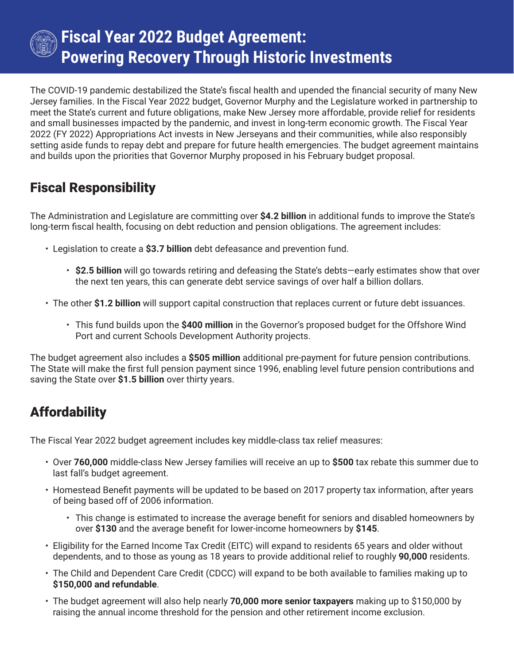

## **Fiscal Year 2022 Budget Agreement: Powering Recovery Through Historic Investments**

The COVID-19 pandemic destabilized the State's fiscal health and upended the financial security of many New Jersey families. In the Fiscal Year 2022 budget, Governor Murphy and the Legislature worked in partnership to meet the State's current and future obligations, make New Jersey more affordable, provide relief for residents and small businesses impacted by the pandemic, and invest in long-term economic growth. The Fiscal Year 2022 (FY 2022) Appropriations Act invests in New Jerseyans and their communities, while also responsibly setting aside funds to repay debt and prepare for future health emergencies. The budget agreement maintains and builds upon the priorities that Governor Murphy proposed in his February budget proposal.

### Fiscal Responsibility

The Administration and Legislature are committing over **\$4.2 billion** in additional funds to improve the State's long-term fiscal health, focusing on debt reduction and pension obligations. The agreement includes:

- Legislation to create a **\$3.7 billion** debt defeasance and prevention fund.
	- **\$2.5 billion** will go towards retiring and defeasing the State's debts—early estimates show that over the next ten years, this can generate debt service savings of over half a billion dollars.
- The other **\$1.2 billion** will support capital construction that replaces current or future debt issuances.
	- This fund builds upon the **\$400 million** in the Governor's proposed budget for the Offshore Wind Port and current Schools Development Authority projects.

The budget agreement also includes a **\$505 million** additional pre-payment for future pension contributions. The State will make the first full pension payment since 1996, enabling level future pension contributions and saving the State over **\$1.5 billion** over thirty years.

### **Affordability**

The Fiscal Year 2022 budget agreement includes key middle-class tax relief measures:

- Over **760,000** middle-class New Jersey families will receive an up to **\$500** tax rebate this summer due to last fall's budget agreement.
- Homestead Benefit payments will be updated to be based on 2017 property tax information, after years of being based off of 2006 information.
	- This change is estimated to increase the average benefit for seniors and disabled homeowners by over **\$130** and the average benefit for lower-income homeowners by **\$145**.
- Eligibility for the Earned Income Tax Credit (EITC) will expand to residents 65 years and older without dependents, and to those as young as 18 years to provide additional relief to roughly **90,000** residents.
- The Child and Dependent Care Credit (CDCC) will expand to be both available to families making up to **\$150,000 and refundable**.
- The budget agreement will also help nearly **70,000 more senior taxpayers** making up to \$150,000 by raising the annual income threshold for the pension and other retirement income exclusion.